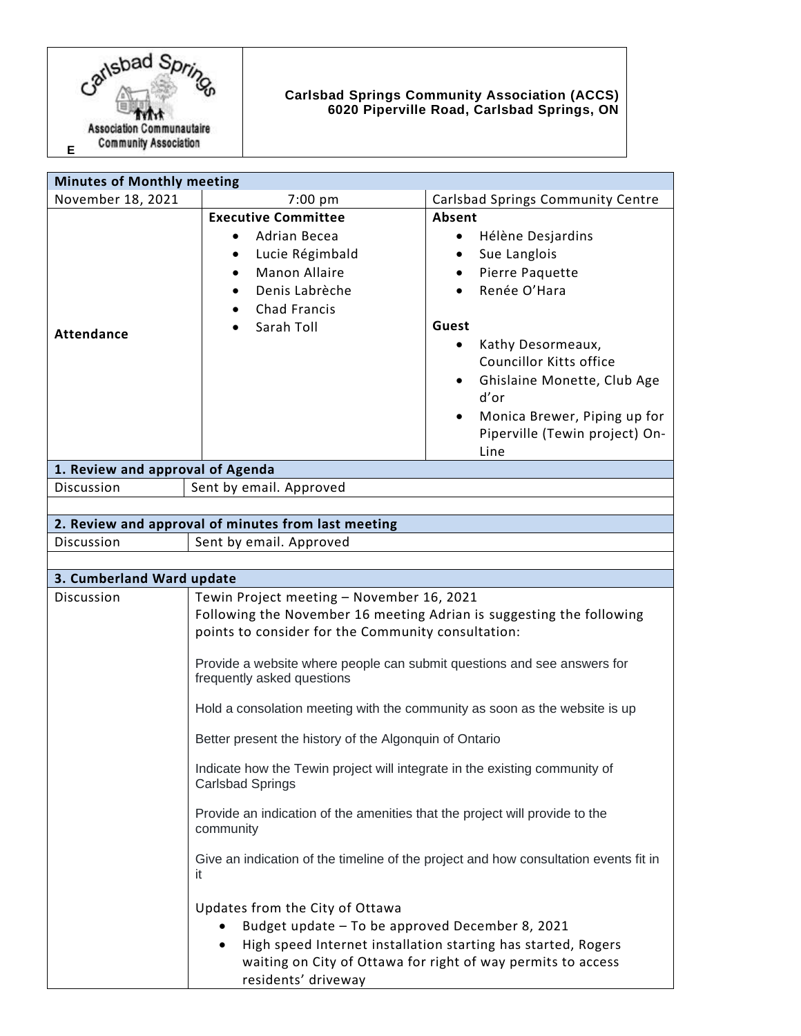

## **Carlsbad Springs Community Association (ACCS) 6020 Piperville Road, Carlsbad Springs, ON**

| <b>Minutes of Monthly meeting</b>                                                            |                                                                                                                                                                                                                                                                                                                                                                |                                                                                                                                                                                                                                                                                              |  |
|----------------------------------------------------------------------------------------------|----------------------------------------------------------------------------------------------------------------------------------------------------------------------------------------------------------------------------------------------------------------------------------------------------------------------------------------------------------------|----------------------------------------------------------------------------------------------------------------------------------------------------------------------------------------------------------------------------------------------------------------------------------------------|--|
| November 18, 2021                                                                            | 7:00 pm                                                                                                                                                                                                                                                                                                                                                        | Carlsbad Springs Community Centre                                                                                                                                                                                                                                                            |  |
| <b>Attendance</b>                                                                            | <b>Executive Committee</b><br>Adrian Becea<br>٠<br>Lucie Régimbald<br>$\bullet$<br><b>Manon Allaire</b><br>Denis Labrèche<br>Chad Francis<br>Sarah Toll                                                                                                                                                                                                        | Absent<br>Hélène Desjardins<br>٠<br>Sue Langlois<br>$\bullet$<br>Pierre Paquette<br>Renée O'Hara<br>Guest<br>Kathy Desormeaux,<br>٠<br>Councillor Kitts office<br>Ghislaine Monette, Club Age<br>$\bullet$<br>d'or<br>Monica Brewer, Piping up for<br>Piperville (Tewin project) On-<br>Line |  |
| 1. Review and approval of Agenda                                                             |                                                                                                                                                                                                                                                                                                                                                                |                                                                                                                                                                                                                                                                                              |  |
| Discussion                                                                                   | Sent by email. Approved                                                                                                                                                                                                                                                                                                                                        |                                                                                                                                                                                                                                                                                              |  |
|                                                                                              |                                                                                                                                                                                                                                                                                                                                                                |                                                                                                                                                                                                                                                                                              |  |
| 2. Review and approval of minutes from last meeting<br>Discussion<br>Sent by email. Approved |                                                                                                                                                                                                                                                                                                                                                                |                                                                                                                                                                                                                                                                                              |  |
|                                                                                              |                                                                                                                                                                                                                                                                                                                                                                |                                                                                                                                                                                                                                                                                              |  |
| 3. Cumberland Ward update                                                                    |                                                                                                                                                                                                                                                                                                                                                                |                                                                                                                                                                                                                                                                                              |  |
| Discussion                                                                                   | Tewin Project meeting - November 16, 2021<br>Following the November 16 meeting Adrian is suggesting the following<br>points to consider for the Community consultation:<br>Provide a website where people can submit questions and see answers for<br>frequently asked questions<br>Hold a consolation meeting with the community as soon as the website is up |                                                                                                                                                                                                                                                                                              |  |
|                                                                                              | Better present the history of the Algonquin of Ontario                                                                                                                                                                                                                                                                                                         |                                                                                                                                                                                                                                                                                              |  |
|                                                                                              | Indicate how the Tewin project will integrate in the existing community of<br><b>Carlsbad Springs</b>                                                                                                                                                                                                                                                          |                                                                                                                                                                                                                                                                                              |  |
|                                                                                              | Provide an indication of the amenities that the project will provide to the<br>community                                                                                                                                                                                                                                                                       |                                                                                                                                                                                                                                                                                              |  |
|                                                                                              | it.                                                                                                                                                                                                                                                                                                                                                            | Give an indication of the timeline of the project and how consultation events fit in                                                                                                                                                                                                         |  |
|                                                                                              | Updates from the City of Ottawa<br>Budget update - To be approved December 8, 2021<br>٠<br>residents' driveway                                                                                                                                                                                                                                                 | High speed Internet installation starting has started, Rogers<br>waiting on City of Ottawa for right of way permits to access                                                                                                                                                                |  |